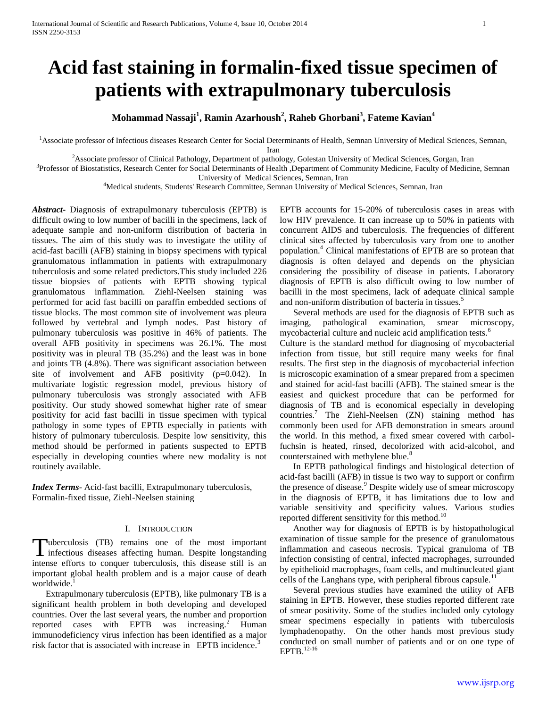# **Acid fast staining in formalin-fixed tissue specimen of patients with extrapulmonary tuberculosis**

**Mohammad Nassaji<sup>1</sup> , Ramin Azarhoush<sup>2</sup> , Raheb Ghorbani<sup>3</sup> , Fateme Kavian<sup>4</sup>**

<sup>1</sup>Associate professor of Infectious diseases Research Center for Social Determinants of Health, Semnan University of Medical Sciences, Semnan,

Iran

<sup>2</sup>Associate professor of Clinical Pathology, Department of pathology, Golestan University of Medical Sciences, Gorgan, Iran

<sup>3</sup>Professor of Biostatistics, Research Center for Social Determinants of Health ,Department of Community Medicine, Faculty of Medicine, Semnan University of Medical Sciences, Semnan, Iran

<sup>4</sup>Medical students, Students' Research Committee, Semnan University of Medical Sciences, Semnan, Iran

*Abstract***-** Diagnosis of extrapulmonary tuberculosis (EPTB) is difficult owing to low number of bacilli in the specimens, lack of adequate sample and non-uniform distribution of bacteria in tissues. The aim of this study was to investigate the utility of acid-fast bacilli (AFB) staining in biopsy specimens with typical granulomatous inflammation in patients with extrapulmonary tuberculosis and some related predictors.This study included 226 tissue biopsies of patients with EPTB showing typical granulomatous inflammation. Ziehl-Neelsen staining was performed for acid fast bacilli on paraffin embedded sections of tissue blocks. The most common site of involvement was pleura followed by vertebral and lymph nodes. Past history of pulmonary tuberculosis was positive in 46% of patients. The overall AFB positivity in specimens was 26.1%. The most positivity was in pleural TB (35.2%) and the least was in bone and joints TB (4.8%). There was significant association between site of involvement and AFB positivity (p=0.042). In multivariate logistic regression model, previous history of pulmonary tuberculosis was strongly associated with AFB positivity. Our study showed somewhat higher rate of smear positivity for acid fast bacilli in tissue specimen with typical pathology in some types of EPTB especially in patients with history of pulmonary tuberculosis. Despite low sensitivity, this method should be performed in patients suspected to EPTB especially in developing counties where new modality is not routinely available.

*Index Terms*- Acid-fast bacilli, Extrapulmonary tuberculosis, Formalin-fixed tissue, Ziehl-Neelsen staining

## I. INTRODUCTION

uberculosis (TB) remains one of the most important Tuberculosis (TB) remains one of the most important<br>infectious diseases affecting human. Despite longstanding intense efforts to conquer tuberculosis, this disease still is an important global health problem and is a major cause of death worldwide.

 Extrapulmonary tuberculosis (EPTB), like pulmonary TB is a significant health problem in both developing and developed countries. Over the last several years, the number and proportion reported cases with EPTB was increasing.<sup>2</sup> Human immunodeficiency virus infection has been identified as a major risk factor that is associated with increase in EPTB incidence.<sup>3</sup>

EPTB accounts for 15-20% of tuberculosis cases in areas with low HIV prevalence. It can increase up to 50% in patients with concurrent AIDS and tuberculosis. The frequencies of different clinical sites affected by tuberculosis vary from one to another population.<sup>4</sup> Clinical manifestations of EPTB are so protean that diagnosis is often delayed and depends on the physician considering the possibility of disease in patients. Laboratory diagnosis of EPTB is also difficult owing to low number of bacilli in the most specimens, lack of adequate clinical sample and non-uniform distribution of bacteria in tissues.<sup>5</sup>

 Several methods are used for the diagnosis of EPTB such as imaging, pathological examination, smear microscopy, mycobacterial culture and nucleic acid amplification tests.<sup>6</sup>

Culture is the standard method for diagnosing of mycobacterial infection from tissue, but still require many weeks for final results. The first step in the diagnosis of mycobacterial infection is microscopic examination of a smear prepared from a specimen and stained for acid-fast bacilli (AFB). The stained smear is the easiest and quickest procedure that can be performed for diagnosis of TB and is economical especially in developing countries.<sup>7</sup> The Ziehl-Neelsen (ZN) staining method has commonly been used for AFB demonstration in smears around the world. In this method, a fixed smear covered with carbolfuchsin is heated, rinsed, decolorized with acid-alcohol, and counterstained with methylene blue.<sup>8</sup>

 In EPTB pathological findings and histological detection of acid-fast bacilli (AFB) in tissue is two way to support or confirm the presence of disease.<sup>9</sup> Despite widely use of smear microscopy in the diagnosis of EPTB, it has limitations due to low and variable sensitivity and specificity values. Various studies reported different sensitivity for this method.<sup>10</sup>

 Another way for diagnosis of EPTB is by histopathological examination of tissue sample for the presence of granulomatous inflammation and caseous necrosis. Typical granuloma of TB infection consisting of central, infected macrophages, surrounded by epithelioid macrophages, foam cells, and multinucleated giant cells of the Langhans type, with peripheral fibrous capsule.<sup>11</sup>

 Several previous studies have examined the utility of AFB staining in EPTB. However, these studies reported different rate of smear positivity. Some of the studies included only cytology smear specimens especially in patients with tuberculosis lymphadenopathy. On the other hands most previous study conducted on small number of patients and or on one type of EPTB.12-16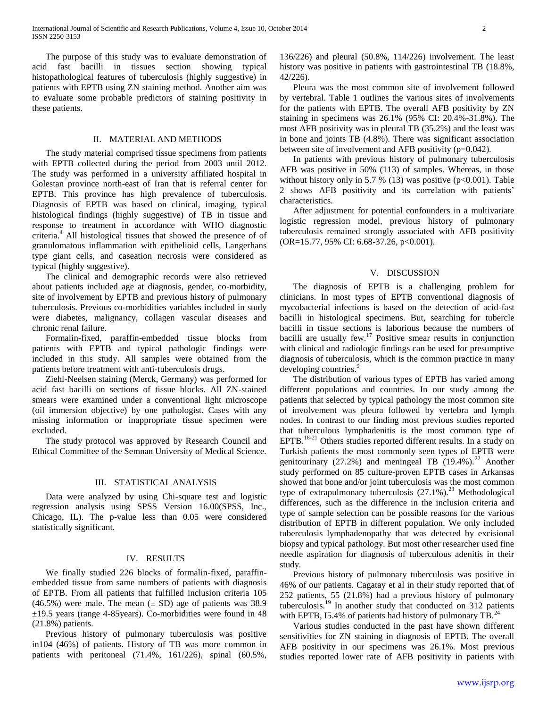The purpose of this study was to evaluate demonstration of acid fast bacilli in tissues section showing typical histopathological features of tuberculosis (highly suggestive) in patients with EPTB using ZN staining method. Another aim was to evaluate some probable predictors of staining positivity in these patients.

## II. MATERIAL AND METHODS

 The study material comprised tissue specimens from patients with EPTB collected during the period from 2003 until 2012. The study was performed in a university affiliated hospital in Golestan province north-east of Iran that is referral center for EPTB. This province has high prevalence of tuberculosis. Diagnosis of EPTB was based on clinical, imaging, typical histological findings (highly suggestive) of TB in tissue and response to treatment in accordance with WHO diagnostic criteria.<sup>4</sup> All histological tissues that showed the presence of of granulomatous inflammation with epithelioid cells, Langerhans type giant cells, and caseation necrosis were considered as typical (highly suggestive).

 The clinical and demographic records were also retrieved about patients included age at diagnosis, gender, co-morbidity, site of involvement by EPTB and previous history of pulmonary tuberculosis. Previous co-morbidities variables included in study were diabetes, malignancy, collagen vascular diseases and chronic renal failure.

 Formalin-fixed, paraffin-embedded tissue blocks from patients with EPTB and typical pathologic findings were included in this study. All samples were obtained from the patients before treatment with anti-tuberculosis drugs.

 Ziehl-Neelsen staining (Merck, Germany) was performed for acid fast bacilli on sections of tissue blocks. All ZN-stained smears were examined under a conventional light microscope (oil immersion objective) by one pathologist. Cases with any missing information or inappropriate tissue specimen were excluded.

 The study protocol was approved by Research Council and Ethical Committee of the Semnan University of Medical Science.

# III. STATISTICAL ANALYSIS

 Data were analyzed by using Chi-square test and logistic regression analysis using SPSS Version 16.00(SPSS, Inc., Chicago, IL). The p-value less than 0.05 were considered statistically significant.

# IV. RESULTS

 We finally studied 226 blocks of formalin-fixed, paraffinembedded tissue from same numbers of patients with diagnosis of EPTB. From all patients that fulfilled inclusion criteria 105  $(46.5\%)$  were male. The mean  $(\pm SD)$  age of patients was 38.9  $\pm$ 19.5 years (range 4-85 years). Co-morbidities were found in 48 (21.8%) patients.

 Previous history of pulmonary tuberculosis was positive in104 (46%) of patients. History of TB was more common in patients with peritoneal (71.4%, 161/226), spinal (60.5%,

136/226) and pleural (50.8%, 114/226) involvement. The least history was positive in patients with gastrointestinal TB (18.8%, 42/226).

 Pleura was the most common site of involvement followed by vertebral. Table 1 outlines the various sites of involvements for the patients with EPTB. The overall AFB positivity by ZN staining in specimens was 26.1% (95% CI: 20.4%-31.8%). The most AFB positivity was in pleural TB (35.2%) and the least was in bone and joints TB (4.8%). There was significant association between site of involvement and AFB positivity (p=0.042).

 In patients with previous history of pulmonary tuberculosis AFB was positive in 50% (113) of samples. Whereas, in those without history only in 5.7 % (13) was positive  $(p<0.001)$ . Table 2 shows AFB positivity and its correlation with patients' characteristics.

 After adjustment for potential confounders in a multivariate logistic regression model, previous history of pulmonary tuberculosis remained strongly associated with AFB positivity (OR=15.77, 95% CI: 6.68-37.26, p<0.001).

#### V. DISCUSSION

 The diagnosis of EPTB is a challenging problem for clinicians. In most types of EPTB conventional diagnosis of mycobacterial infections is based on the detection of acid-fast bacilli in histological specimens. But, searching for tubercle bacilli in tissue sections is laborious because the numbers of bacilli are usually few. $17$  Positive smear results in conjunction with clinical and radiologic findings can be used for presumptive diagnosis of tuberculosis, which is the common practice in many developing countries.<sup>9</sup>

 The distribution of various types of EPTB has varied among different populations and countries. In our study among the patients that selected by typical pathology the most common site of involvement was pleura followed by vertebra and lymph nodes. In contrast to our finding most previous studies reported that tuberculous lymphadenitis is the most common type of EPTB.<sup>18-21</sup> Others studies reported different results. In a study on Turkish patients the most commonly seen types of EPTB were genitourinary (27.2%) and meningeal TB (19.4%).<sup>22</sup> Another study performed on 85 culture-proven EPTB cases in Arkansas showed that bone and/or joint tuberculosis was the most common type of extrapulmonary tuberculosis  $(27.1\%)$ <sup>23</sup> Methodological differences, such as the difference in the inclusion criteria and type of sample selection can be possible reasons for the various distribution of EPTB in different population. We only included tuberculosis lymphadenopathy that was detected by excisional biopsy and typical pathology. But most other researcher used fine needle aspiration for diagnosis of tuberculous adenitis in their study.

 Previous history of pulmonary tuberculosis was positive in 46% of our patients. Cagatay et al in their study reported that of 252 patients, 55 (21.8%) had a previous history of pulmonary tuberculosis.<sup>19</sup> In another study that conducted on 312 patients with EPTB, 15.4% of patients had history of pulmonary  $TB<sup>24</sup>$ .

 Various studies conducted in the past have shown different sensitivities for ZN staining in diagnosis of EPTB. The overall AFB positivity in our specimens was 26.1%. Most previous studies reported lower rate of AFB positivity in patients with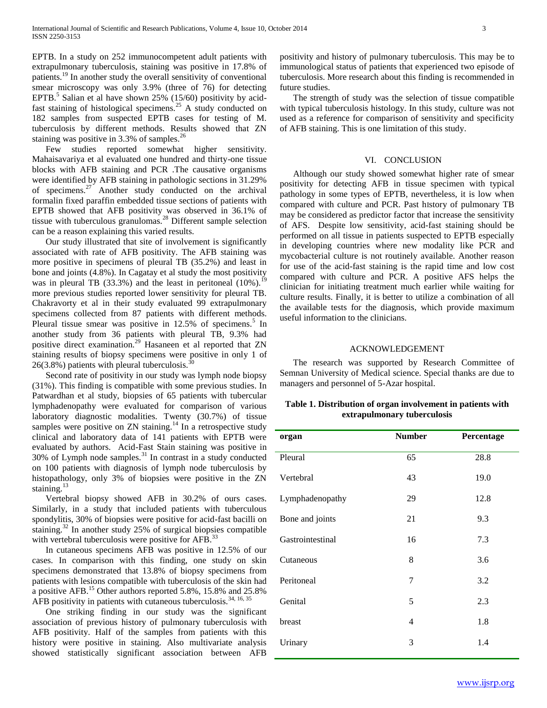EPTB. In a study on 252 immunocompetent adult patients with extrapulmonary tuberculosis, staining was positive in 17.8% of patients.<sup>19</sup> In another study the overall sensitivity of conventional smear microscopy was only 3.9% (three of 76) for detecting EPTB.<sup>5</sup> Salian et al have shown 25% (15/60) positivity by acidfast staining of histological specimens.<sup>25</sup> A study conducted on 182 samples from suspected EPTB cases for testing of M. tuberculosis by different methods. Results showed that ZN staining was positive in  $3.3\%$  of samples.<sup>26</sup>

 Few studies reported somewhat higher sensitivity. Mahaisavariya et al evaluated one hundred and thirty-one tissue blocks with AFB staining and PCR .The causative organisms were identified by AFB staining in pathologic sections in 31.29% of specimens.<sup>27</sup> Another study conducted on the archival formalin fixed paraffin embedded tissue sections of patients with EPTB showed that AFB positivity was observed in 36.1% of tissue with tuberculous granulomas.<sup>28</sup> Different sample selection can be a reason explaining this varied results.

 Our study illustrated that site of involvement is significantly associated with rate of AFB positivity. The AFB staining was more positive in specimens of pleural TB (35.2%) and least in bone and joints (4.8%). In Cagatay et al study the most positivity was in pleural TB (33.3%) and the least in peritoneal  $(10\%)$ .<sup>19</sup> more previous studies reported lower sensitivity for pleural TB. Chakravorty et al in their study evaluated 99 extrapulmonary specimens collected from 87 patients with different methods. Pleural tissue smear was positive in  $12.5\%$  of specimens.<sup>5</sup> In another study from 36 patients with pleural TB, 9.3% had positive direct examination.<sup>29</sup> Hasaneen et al reported that ZN staining results of biopsy specimens were positive in only 1 of  $26(3.8\%)$  patients with pleural tuberculosis.

 Second rate of positivity in our study was lymph node biopsy (31%). This finding is compatible with some previous studies. In Patwardhan et al study, biopsies of 65 patients with tubercular lymphadenopathy were evaluated for comparison of various laboratory diagnostic modalities. Twenty (30.7%) of tissue samples were positive on ZN staining.<sup>14</sup> In a retrospective study clinical and laboratory data of 141 patients with EPTB were evaluated by authors. Acid-Fast Stain staining was positive in  $30\%$  of Lymph node samples.<sup>31</sup> In contrast in a study conducted on 100 patients with diagnosis of lymph node tuberculosis by histopathology, only 3% of biopsies were positive in the ZN staining. $13$ 

 Vertebral biopsy showed AFB in 30.2% of ours cases. Similarly, in a study that included patients with tuberculous spondylitis, 30% of biopsies were positive for acid-fast bacilli on staining. $32$  In another study 25% of surgical biopsies compatible with vertebral tuberculosis were positive for AFB.<sup>33</sup>

 In cutaneous specimens AFB was positive in 12.5% of our cases. In comparison with this finding, one study on skin specimens demonstrated that 13.8% of biopsy specimens from patients with lesions compatible with tuberculosis of the skin had a positive AFB.<sup>15</sup> Other authors reported 5.8%, 15.8% and 25.8% AFB positivity in patients with cutaneous tuberculosis.<sup>34, 16, 35</sup>

 One striking finding in our study was the significant association of previous history of pulmonary tuberculosis with AFB positivity. Half of the samples from patients with this history were positive in staining. Also multivariate analysis showed statistically significant association between AFB

positivity and history of pulmonary tuberculosis. This may be to immunological status of patients that experienced two episode of tuberculosis. More research about this finding is recommended in future studies.

 The strength of study was the selection of tissue compatible with typical tuberculosis histology. In this study, culture was not used as a reference for comparison of sensitivity and specificity of AFB staining. This is one limitation of this study.

## VI. CONCLUSION

 Although our study showed somewhat higher rate of smear positivity for detecting AFB in tissue specimen with typical pathology in some types of EPTB, nevertheless, it is low when compared with culture and PCR. Past hIstory of pulmonary TB may be considered as predictor factor that increase the sensitivity of AFS. Despite low sensitivity, acid-fast staining should be performed on all tissue in patients suspected to EPTB especially in developing countries where new modality like PCR and mycobacterial culture is not routinely available. Another reason for use of the acid-fast staining is the rapid time and low cost compared with culture and PCR. A positive AFS helps the clinician for initiating treatment much earlier while waiting for culture results. Finally, it is better to utilize a combination of all the available tests for the diagnosis, which provide maximum useful information to the clinicians.

## ACKNOWLEDGEMENT

 The research was supported by Research Committee of Semnan University of Medical science. Special thanks are due to managers and personnel of 5-Azar hospital.

# **Table 1. Distribution of organ involvement in patients with extrapulmonary tuberculosis**

| organ            | <b>Number</b> | Percentage |
|------------------|---------------|------------|
| Pleural          | 65            | 28.8       |
| Vertebral        | 43            | 19.0       |
| Lymphadenopathy  | 29            | 12.8       |
| Bone and joints  | 21            | 9.3        |
| Gastrointestinal | 16            | 7.3        |
| Cutaneous        | 8             | 3.6        |
| Peritoneal       | 7             | 3.2        |
| Genital          | 5             | 2.3        |
| breast           | 4             | 1.8        |
| Urinary          | 3             | 1.4        |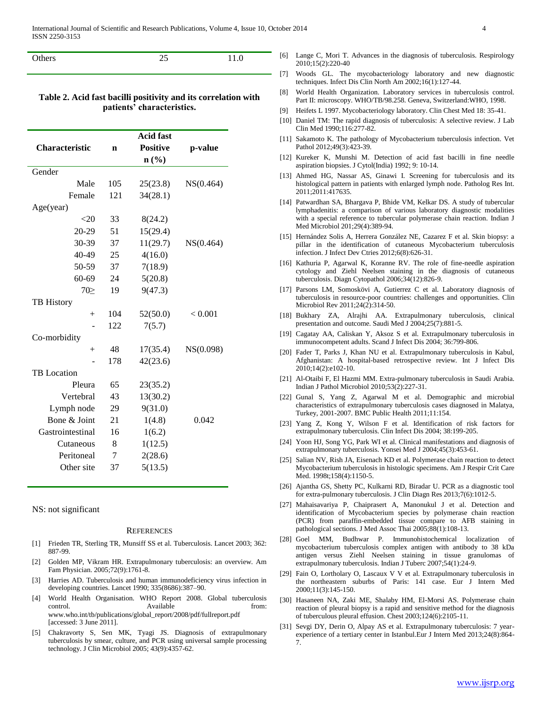| Others | <b>1.V</b> |
|--------|------------|
|        |            |

# **Table 2. Acid fast bacilli positivity and its correlation with patients' characteristics.**

|                       |     | <b>Acid fast</b>            |           |
|-----------------------|-----|-----------------------------|-----------|
| <b>Characteristic</b> | n   | <b>Positive</b>             | p-value   |
|                       |     | $n\left(\frac{9}{6}\right)$ |           |
| Gender                |     |                             |           |
| Male                  | 105 | 25(23.8)                    | NS(0.464) |
| Female                | 121 | 34(28.1)                    |           |
| Age(year)             |     |                             |           |
| $<$ 20                | 33  | 8(24.2)                     |           |
| 20-29                 | 51  | 15(29.4)                    |           |
| 30-39                 | 37  | 11(29.7)                    | NS(0.464) |
| 40-49                 | 25  | 4(16.0)                     |           |
| 50-59                 | 37  | 7(18.9)                     |           |
| $60 - 69$             | 24  | 5(20.8)                     |           |
| $70\succeq$           | 19  | 9(47.3)                     |           |
| <b>TB</b> History     |     |                             |           |
| $^{+}$                | 104 | 52(50.0)                    | < 0.001   |
|                       | 122 | 7(5.7)                      |           |
| Co-morbidity          |     |                             |           |
| $^{+}$                | 48  | 17(35.4)                    | NS(0.098) |
|                       | 178 | 42(23.6)                    |           |
| <b>TB</b> Location    |     |                             |           |
| Pleura                | 65  | 23(35.2)                    |           |
| Vertebral             | 43  | 13(30.2)                    |           |
| Lymph node            | 29  | 9(31.0)                     |           |
| Bone & Joint          | 21  | 1(4.8)                      | 0.042     |
| Gastrointestinal      | 16  | 1(6.2)                      |           |
| Cutaneous             | 8   | 1(12.5)                     |           |
| Peritoneal            | 7   | 2(28.6)                     |           |
| Other site            | 37  | 5(13.5)                     |           |
|                       |     |                             |           |

NS: not significant

#### **REFERENCES**

- [1] Frieden TR, Sterling TR, Munsiff SS et al. Tuberculosis. Lancet 2003; 362: 887-99.
- [2] Golden MP, Vikram HR. Extrapulmonary tuberculosis: an overview. Am Fam Physician. 2005;72(9):1761-8.
- [3] Harries AD. Tuberculosis and human immunodeficiency virus infection in developing countries. Lancet 1990; 335(8686):387–90.
- [4] World Health Organisation. WHO Report 2008. Global tuberculosis control. Available from: www.who.int/tb/publications/global\_report/2008/pdf/fullreport.pdf [accessed: 3 June 2011].
- [5] Chakravorty S, Sen MK, Tyagi JS. Diagnosis of extrapulmonary tuberculosis by smear, culture, and PCR using universal sample processing technology. J Clin Microbiol 2005; 43(9):4357-62.
- [6] Lange C, Mori T. Advances in the diagnosis of tuberculosis. Respirology 2010;15(2):220-40
- [7] Woods GL. The mycobacteriology laboratory and new diagnostic techniques. Infect Dis Clin North Am 2002;16(1):127-44.
- [8] World Health Organization. Laboratory services in tuberculosis control. Part II: microscopy. WHO/TB/98.258. Geneva, Switzerland:WHO, 1998.
- [9] Heifets L 1997. Mycobacteriology laboratory. Clin Chest Med 18: 35-41.
- [10] Daniel TM: The rapid diagnosis of tuberculosis: A selective review. J Lab Clin Med 1990;116:277-82.
- [11] Sakamoto K. The pathology of Mycobacterium tuberculosis infection. Vet Pathol 2012;49(3):423-39.
- [12] Kureker K, Munshi M. Detection of acid fast bacilli in fine needle aspiration biopsies. J Cytol(India) 1992; 9: 10-14.
- [13] Ahmed HG, Nassar AS, Ginawi I. Screening for tuberculosis and its histological pattern in patients with enlarged lymph node. Patholog Res Int. 2011;2011:417635.
- [14] Patwardhan SA, Bhargava P, Bhide VM, Kelkar DS. A study of tubercular lymphadenitis: a comparison of various laboratory diagnostic modalities with a special reference to tubercular polymerase chain reaction. Indian J Med Microbiol 201;29(4):389-94.
- [15] Hernández Solis A, Herrera González NE, Cazarez F et al. Skin biopsy: a pillar in the identification of cutaneous Mycobacterium tuberculosis infection. J Infect Dev Ctries 2012;6(8):626-31.
- [16] Kathuria P, Agarwal K, Koranne RV. The role of fine-needle aspiration cytology and Ziehl Neelsen staining in the diagnosis of cutaneous tuberculosis. Diagn Cytopathol 2006;34(12):826-9.
- [17] Parsons LM, Somoskövi A, Gutierrez C et al. Laboratory diagnosis of tuberculosis in resource-poor countries: challenges and opportunities. Clin Microbiol Rev 2011;24(2):314-50.
- [18] Bukhary ZA, Alrajhi AA. Extrapulmonary tuberculosis, clinical presentation and outcome. Saudi Med J 2004;25(7):881-5.
- [19] Cagatay AA, Caliskan Y, Aksoz S et al. Extrapulmonary tuberculosis in immunocompetent adults. Scand J Infect Dis 2004; 36:799-806.
- [20] Fader T, Parks J, Khan NU et al. Extrapulmonary tuberculosis in Kabul, Afghanistan: A hospital-based retrospective review. Int J Infect Dis 2010;14(2):e102-10.
- [21] Al-Otaibi F, El Hazmi MM. Extra-pulmonary tuberculosis in Saudi Arabia. Indian J Pathol Microbiol 2010;53(2):227-31.
- [22] Gunal S, Yang Z, Agarwal M et al. Demographic and microbial characteristics of extrapulmonary tuberculosis cases diagnosed in Malatya, Turkey, 2001-2007. BMC Public Health 2011;11:154.
- [23] Yang Z, Kong Y, Wilson F et al. Identification of risk factors for extrapulmonary tuberculosis. Clin Infect Dis 2004; 38:199-205.
- [24] Yoon HJ, Song YG, Park WI et al. Clinical manifestations and diagnosis of extrapulmonary tuberculosis. Yonsei Med J 2004;45(3):453-61.
- [25] Salian NV, Rish JA, Eisenach KD et al. Polymerase chain reaction to detect Mycobacterium tuberculosis in histologic specimens. Am J Respir Crit Care Med. 1998t;158(4):1150-5.
- [26] Ajantha GS, Shetty PC, Kulkarni RD, Biradar U. PCR as a diagnostic tool for extra-pulmonary tuberculosis. J Clin Diagn Res 2013;7(6):1012-5.
- [27] Mahaisavariya P, Chaiprasert A, Manonukul J et al. Detection and identification of Mycobacterium species by polymerase chain reaction (PCR) from paraffin-embedded tissue compare to AFB staining in pathological sections. J Med Assoc Thai 2005;88(1):108-13.
- [28] Goel MM, Budhwar P. Immunohistochemical localization of mycobacterium tuberculosis complex antigen with antibody to 38 kDa antigen versus Ziehl Neelsen staining in tissue granulomas of extrapulmonary tuberculosis. Indian J Tuberc 2007;54(1):24-9.
- [29] Fain O, Lortholary O, Lascaux V V et al. Extrapulmonary tuberculosis in the northeastern suburbs of Paris: 141 case. Eur J Intern Med 2000;11(3):145-150.
- [30] Hasaneen NA, Zaki ME, Shalaby HM, El-Morsi AS. Polymerase chain reaction of pleural biopsy is a rapid and sensitive method for the diagnosis of tuberculous pleural effusion. Chest 2003;124(6):2105-11.
- [31] Sevgi DY, Derin O, Alpay AS et al. Extrapulmonary tuberculosis: 7 yearexperience of a tertiary center in Istanbul.Eur J Intern Med 2013;24(8):864- 7.